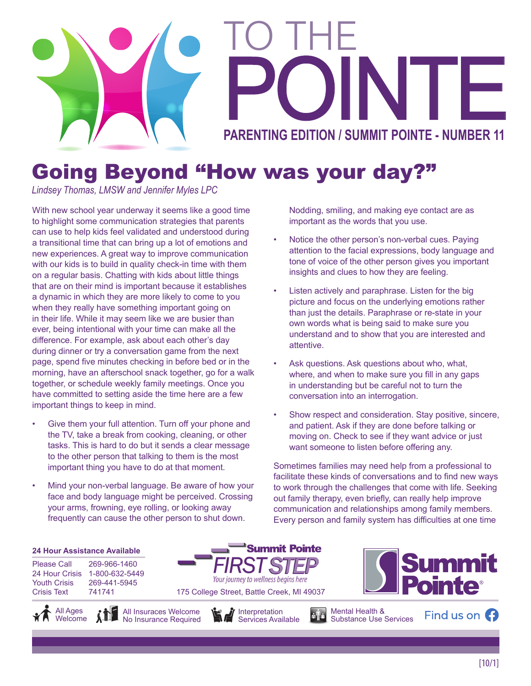

# Going Beyond "How was your day?"

*Lindsey Thomas, LMSW and Jennifer Myles LPC*

With new school year underway it seems like a good time to highlight some communication strategies that parents can use to help kids feel validated and understood during a transitional time that can bring up a lot of emotions and new experiences. A great way to improve communication with our kids is to build in quality check-in time with them on a regular basis. Chatting with kids about little things that are on their mind is important because it establishes a dynamic in which they are more likely to come to you when they really have something important going on in their life. While it may seem like we are busier than ever, being intentional with your time can make all the difference. For example, ask about each other's day during dinner or try a conversation game from the next page, spend five minutes checking in before bed or in the morning, have an afterschool snack together, go for a walk together, or schedule weekly family meetings. Once you have committed to setting aside the time here are a few important things to keep in mind.

- Give them your full attention. Turn off your phone and the TV, take a break from cooking, cleaning, or other tasks. This is hard to do but it sends a clear message to the other person that talking to them is the most important thing you have to do at that moment.
- Mind your non-verbal language. Be aware of how your face and body language might be perceived. Crossing your arms, frowning, eye rolling, or looking away frequently can cause the other person to shut down.

Nodding, smiling, and making eye contact are as important as the words that you use.

- Notice the other person's non-verbal cues. Paving attention to the facial expressions, body language and tone of voice of the other person gives you important insights and clues to how they are feeling.
- Listen actively and paraphrase. Listen for the big picture and focus on the underlying emotions rather than just the details. Paraphrase or re-state in your own words what is being said to make sure you understand and to show that you are interested and attentive.
- Ask questions. Ask questions about who, what, where, and when to make sure you fill in any gaps in understanding but be careful not to turn the conversation into an interrogation.
- Show respect and consideration. Stay positive, sincere, and patient. Ask if they are done before talking or moving on. Check to see if they want advice or just want someone to listen before offering any.

Sometimes families may need help from a professional to facilitate these kinds of conversations and to find new ways to work through the challenges that come with life. Seeking out family therapy, even briefly, can really help improve communication and relationships among family members. Every person and family system has difficulties at one time

> Mental Health & Substance Use Services

#### **24 Hour Assistance Available**

Please Call 269-966-1460 24 Hour Crisis 1-800-632-5449 Youth Crisis 269-441-5945 Crisis Text 741741

All Ages **Welcome** 





175 College Street, Battle Creek, MI 49037

Your journey to wellness begins here

**Summit Pointe** 



Find us on **C**